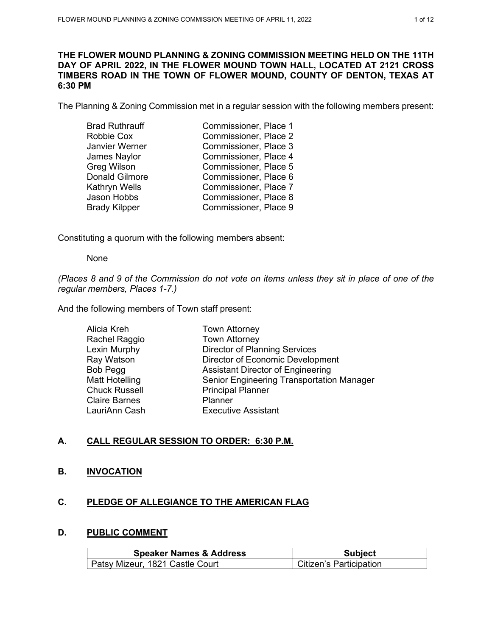### **THE FLOWER MOUND PLANNING & ZONING COMMISSION MEETING HELD ON THE 11TH DAY OF APRIL 2022, IN THE FLOWER MOUND TOWN HALL, LOCATED AT 2121 CROSS TIMBERS ROAD IN THE TOWN OF FLOWER MOUND, COUNTY OF DENTON, TEXAS AT 6:30 PM**

The Planning & Zoning Commission met in a regular session with the following members present:

| <b>Brad Ruthrauff</b> | Commissioner, Place 1 |
|-----------------------|-----------------------|
| Robbie Cox            | Commissioner, Place 2 |
| Janvier Werner        | Commissioner, Place 3 |
| James Naylor          | Commissioner, Place 4 |
| Greg Wilson           | Commissioner, Place 5 |
| <b>Donald Gilmore</b> | Commissioner, Place 6 |
| Kathryn Wells         | Commissioner, Place 7 |
| Jason Hobbs           | Commissioner, Place 8 |
| <b>Brady Kilpper</b>  | Commissioner, Place 9 |
|                       |                       |

Constituting a quorum with the following members absent:

None

*(Places 8 and 9 of the Commission do not vote on items unless they sit in place of one of the regular members, Places 1-7.)*

And the following members of Town staff present:

| Alicia Kreh          | <b>Town Attorney</b>                             |
|----------------------|--------------------------------------------------|
| Rachel Raggio        | <b>Town Attorney</b>                             |
| Lexin Murphy         | <b>Director of Planning Services</b>             |
| Ray Watson           | Director of Economic Development                 |
| Bob Pegg             | <b>Assistant Director of Engineering</b>         |
| Matt Hotelling       | <b>Senior Engineering Transportation Manager</b> |
| <b>Chuck Russell</b> | <b>Principal Planner</b>                         |
| <b>Claire Barnes</b> | Planner                                          |
| LauriAnn Cash        | <b>Executive Assistant</b>                       |
|                      |                                                  |

# **A. CALL REGULAR SESSION TO ORDER: 6:30 P.M.**

### **B. INVOCATION**

### **C. PLEDGE OF ALLEGIANCE TO THE AMERICAN FLAG**

### **D. PUBLIC COMMENT**

| <b>Speaker Names &amp; Address</b> | <b>Subject</b>          |
|------------------------------------|-------------------------|
| Patsy Mizeur, 1821 Castle Court    | Citizen's Participation |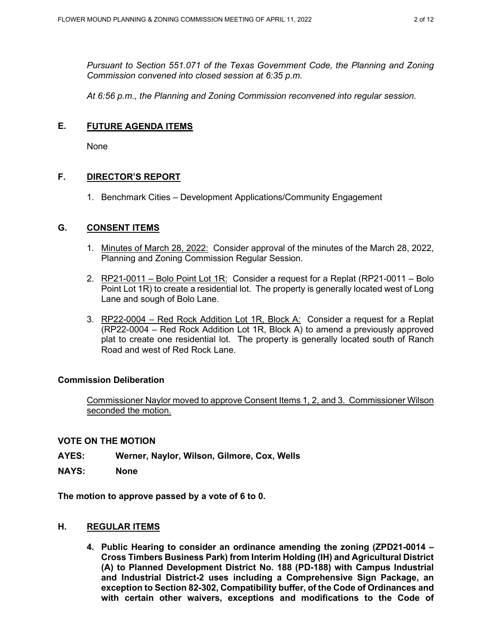*Pursuant to Section 551.071 of the Texas Government Code, the Planning and Zoning Commission convened into closed session at 6:35 p.m.*

*At 6:56 p.m., the Planning and Zoning Commission reconvened into regular session.*

### **E. FUTURE AGENDA ITEMS**

None

# **F. DIRECTOR'S REPORT**

1. Benchmark Cities – Development Applications/Community Engagement

### **G. CONSENT ITEMS**

- 1. Minutes of March 28, 2022: Consider approval of the minutes of the March 28, 2022, Planning and Zoning Commission Regular Session.
- 2. RP21-0011 Bolo Point Lot 1R: Consider a request for a Replat (RP21-0011 Bolo Point Lot 1R) to create a residential lot. The property is generally located west of Long Lane and sough of Bolo Lane.
- 3. RP22-0004 Red Rock Addition Lot 1R, Block A: Consider a request for a Replat (RP22-0004 – Red Rock Addition Lot 1R, Block A) to amend a previously approved plat to create one residential lot. The property is generally located south of Ranch Road and west of Red Rock Lane.

### **Commission Deliberation**

Commissioner Naylor moved to approve Consent Items 1, 2, and 3. Commissioner Wilson seconded the motion.

### **VOTE ON THE MOTION**

- **AYES: Werner, Naylor, Wilson, Gilmore, Cox, Wells**
- **NAYS: None**

**The motion to approve passed by a vote of 6 to 0.** 

### **H. REGULAR ITEMS**

**4. Public Hearing to consider an ordinance amending the zoning (ZPD21-0014 – Cross Timbers Business Park) from Interim Holding (IH) and Agricultural District (A) to Planned Development District No. 188 (PD-188) with Campus Industrial and Industrial District-2 uses including a Comprehensive Sign Package, an exception to Section 82-302, Compatibility buffer, of the Code of Ordinances and with certain other waivers, exceptions and modifications to the Code of**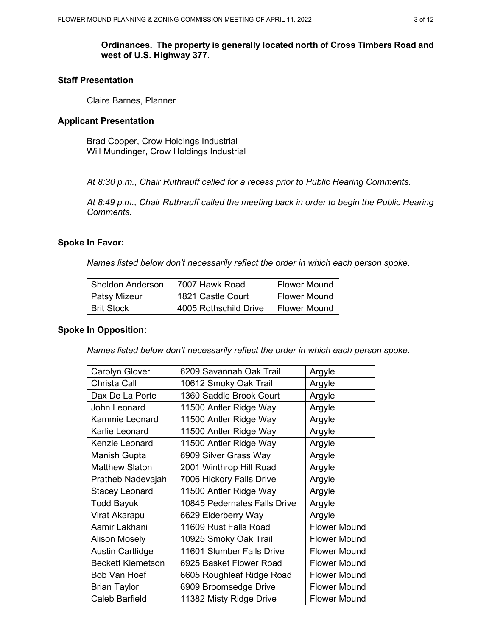### **Ordinances. The property is generally located north of Cross Timbers Road and west of U.S. Highway 377.**

# **Staff Presentation**

Claire Barnes, Planner

#### **Applicant Presentation**

Brad Cooper, Crow Holdings Industrial Will Mundinger, Crow Holdings Industrial

*At 8:30 p.m., Chair Ruthrauff called for a recess prior to Public Hearing Comments.*

*At 8:49 p.m., Chair Ruthrauff called the meeting back in order to begin the Public Hearing Comments.*

#### **Spoke In Favor:**

*Names listed below don't necessarily reflect the order in which each person spoke.*

| <b>Sheldon Anderson</b> | 7007 Hawk Road        | <b>Flower Mound</b> |
|-------------------------|-----------------------|---------------------|
| Patsy Mizeur            | 1821 Castle Court     | <b>Flower Mound</b> |
| l Brit Stock            | 4005 Rothschild Drive | <b>Flower Mound</b> |

### **Spoke In Opposition:**

*Names listed below don't necessarily reflect the order in which each person spoke.*

| <b>Carolyn Glover</b>    | 6209 Savannah Oak Trail      | Argyle              |
|--------------------------|------------------------------|---------------------|
| <b>Christa Call</b>      | 10612 Smoky Oak Trail        | Argyle              |
| Dax De La Porte          | 1360 Saddle Brook Court      | Argyle              |
| John Leonard             | 11500 Antler Ridge Way       | Argyle              |
| Kammie Leonard           | 11500 Antler Ridge Way       | Argyle              |
| Karlie Leonard           | 11500 Antler Ridge Way       | Argyle              |
| Kenzie Leonard           | 11500 Antler Ridge Way       | Argyle              |
| Manish Gupta             | 6909 Silver Grass Way        | Argyle              |
| <b>Matthew Slaton</b>    | 2001 Winthrop Hill Road      | Argyle              |
| Pratheb Nadevajah        | 7006 Hickory Falls Drive     | Argyle              |
| <b>Stacey Leonard</b>    | 11500 Antler Ridge Way       | Argyle              |
| <b>Todd Bayuk</b>        | 10845 Pedernales Falls Drive | Argyle              |
| Virat Akarapu            | 6629 Elderberry Way          | Argyle              |
| Aamir Lakhani            | 11609 Rust Falls Road        | <b>Flower Mound</b> |
| <b>Alison Mosely</b>     | 10925 Smoky Oak Trail        | <b>Flower Mound</b> |
| <b>Austin Cartlidge</b>  | 11601 Slumber Falls Drive    | <b>Flower Mound</b> |
| <b>Beckett Klemetson</b> | 6925 Basket Flower Road      | <b>Flower Mound</b> |
| Bob Van Hoef             | 6605 Roughleaf Ridge Road    | <b>Flower Mound</b> |
| <b>Brian Taylor</b>      | 6909 Broomsedge Drive        | <b>Flower Mound</b> |
| <b>Caleb Barfield</b>    | 11382 Misty Ridge Drive      | <b>Flower Mound</b> |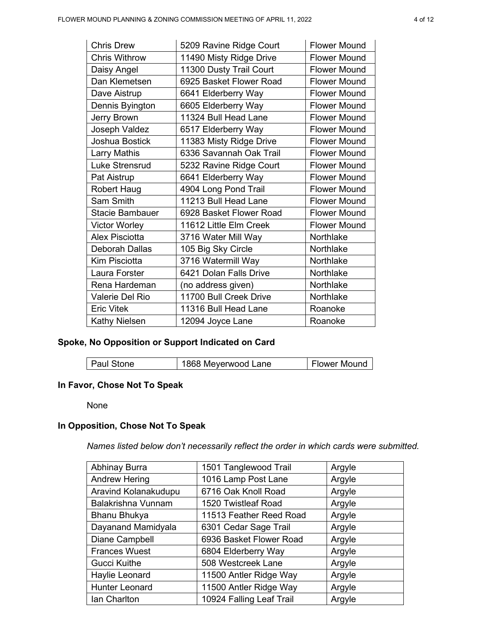| <b>Chris Drew</b>      | 5209 Ravine Ridge Court | <b>Flower Mound</b> |
|------------------------|-------------------------|---------------------|
| <b>Chris Withrow</b>   | 11490 Misty Ridge Drive | <b>Flower Mound</b> |
| Daisy Angel            | 11300 Dusty Trail Court | <b>Flower Mound</b> |
| Dan Klemetsen          | 6925 Basket Flower Road | <b>Flower Mound</b> |
| Dave Aistrup           | 6641 Elderberry Way     | <b>Flower Mound</b> |
| Dennis Byington        | 6605 Elderberry Way     | <b>Flower Mound</b> |
| Jerry Brown            | 11324 Bull Head Lane    | <b>Flower Mound</b> |
| Joseph Valdez          | 6517 Elderberry Way     | <b>Flower Mound</b> |
| Joshua Bostick         | 11383 Misty Ridge Drive | <b>Flower Mound</b> |
| <b>Larry Mathis</b>    | 6336 Savannah Oak Trail | <b>Flower Mound</b> |
| <b>Luke Strensrud</b>  | 5232 Ravine Ridge Court | <b>Flower Mound</b> |
| Pat Aistrup            | 6641 Elderberry Way     | <b>Flower Mound</b> |
| <b>Robert Haug</b>     | 4904 Long Pond Trail    | <b>Flower Mound</b> |
| Sam Smith              | 11213 Bull Head Lane    | <b>Flower Mound</b> |
| <b>Stacie Bambauer</b> | 6928 Basket Flower Road | <b>Flower Mound</b> |
| <b>Victor Worley</b>   | 11612 Little Elm Creek  | <b>Flower Mound</b> |
| <b>Alex Pisciotta</b>  | 3716 Water Mill Way     | Northlake           |
| <b>Deborah Dallas</b>  | 105 Big Sky Circle      | Northlake           |
| Kim Pisciotta          | 3716 Watermill Way      | Northlake           |
| Laura Forster          | 6421 Dolan Falls Drive  | Northlake           |
| Rena Hardeman          | (no address given)      | Northlake           |
| Valerie Del Rio        | 11700 Bull Creek Drive  | Northlake           |
| <b>Eric Vitek</b>      | 11316 Bull Head Lane    | Roanoke             |
| <b>Kathy Nielsen</b>   | 12094 Joyce Lane        | Roanoke             |

# **Spoke, No Opposition or Support Indicated on Card**

| <b>Paul Stone</b> | 1868 Meyerwood Lane | Flower Mound |
|-------------------|---------------------|--------------|
|                   |                     |              |

# **In Favor, Chose Not To Speak**

None

# **In Opposition, Chose Not To Speak**

*Names listed below don't necessarily reflect the order in which cards were submitted.* 

| Abhinay Burra        | 1501 Tanglewood Trail    | Argyle |
|----------------------|--------------------------|--------|
| <b>Andrew Hering</b> | 1016 Lamp Post Lane      | Argyle |
| Aravind Kolanakudupu | 6716 Oak Knoll Road      | Argyle |
| Balakrishna Vunnam   | 1520 Twistleaf Road      | Argyle |
| Bhanu Bhukya         | 11513 Feather Reed Road  | Argyle |
| Dayanand Mamidyala   | 6301 Cedar Sage Trail    | Argyle |
| Diane Campbell       | 6936 Basket Flower Road  | Argyle |
| <b>Frances Wuest</b> | 6804 Elderberry Way      | Argyle |
| <b>Gucci Kuithe</b>  | 508 Westcreek Lane       | Argyle |
| Haylie Leonard       | 11500 Antler Ridge Way   | Argyle |
| Hunter Leonard       | 11500 Antler Ridge Way   | Argyle |
| Ian Charlton         | 10924 Falling Leaf Trail | Argyle |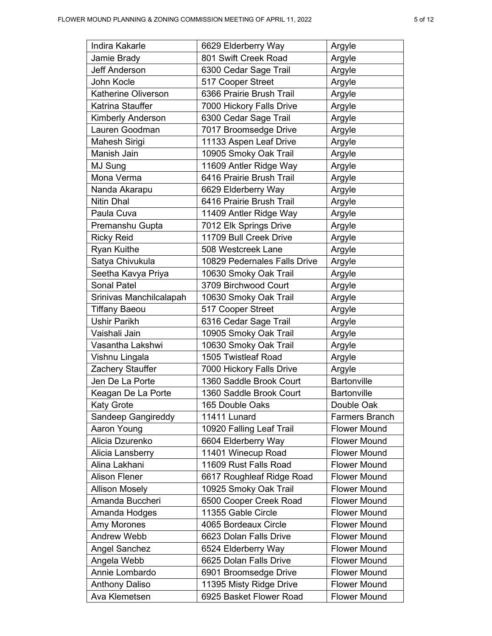| Indira Kakarle             | 6629 Elderberry Way          | Argyle              |
|----------------------------|------------------------------|---------------------|
| Jamie Brady                | 801 Swift Creek Road         | Argyle              |
| <b>Jeff Anderson</b>       | 6300 Cedar Sage Trail        | Argyle              |
| John Kocle                 | 517 Cooper Street            | Argyle              |
| <b>Katherine Oliverson</b> | 6366 Prairie Brush Trail     | Argyle              |
| Katrina Stauffer           | 7000 Hickory Falls Drive     | Argyle              |
| <b>Kimberly Anderson</b>   | 6300 Cedar Sage Trail        | Argyle              |
| Lauren Goodman             | 7017 Broomsedge Drive        | Argyle              |
| Mahesh Sirigi              | 11133 Aspen Leaf Drive       | Argyle              |
| Manish Jain                | 10905 Smoky Oak Trail        | Argyle              |
| MJ Sung                    | 11609 Antler Ridge Way       | Argyle              |
| Mona Verma                 | 6416 Prairie Brush Trail     | Argyle              |
| Nanda Akarapu              | 6629 Elderberry Way          | Argyle              |
| <b>Nitin Dhal</b>          | 6416 Prairie Brush Trail     | Argyle              |
| Paula Cuva                 | 11409 Antler Ridge Way       | Argyle              |
| Premanshu Gupta            | 7012 Elk Springs Drive       | Argyle              |
| <b>Ricky Reid</b>          | 11709 Bull Creek Drive       | Argyle              |
| <b>Ryan Kuithe</b>         | 508 Westcreek Lane           | Argyle              |
| Satya Chivukula            | 10829 Pedernales Falls Drive | Argyle              |
| Seetha Kavya Priya         | 10630 Smoky Oak Trail        | Argyle              |
| <b>Sonal Patel</b>         | 3709 Birchwood Court         | Argyle              |
| Srinivas Manchilcalapah    | 10630 Smoky Oak Trail        | Argyle              |
| <b>Tiffany Baeou</b>       | 517 Cooper Street            | Argyle              |
| <b>Ushir Parikh</b>        | 6316 Cedar Sage Trail        | Argyle              |
| Vaishali Jain              | 10905 Smoky Oak Trail        | Argyle              |
| Vasantha Lakshwi           | 10630 Smoky Oak Trail        | Argyle              |
| Vishnu Lingala             | 1505 Twistleaf Road          | Argyle              |
| Zachery Stauffer           | 7000 Hickory Falls Drive     | Argyle              |
| Jen De La Porte            | 1360 Saddle Brook Court      | Bartonville         |
| Keagan De La Porte         | 1360 Saddle Brook Court      | <b>Bartonville</b>  |
| <b>Katy Grote</b>          | 165 Double Oaks              | Double Oak          |
| Sandeep Gangireddy         | 11411 Lunard                 | Farmers Branch      |
| Aaron Young                | 10920 Falling Leaf Trail     | <b>Flower Mound</b> |
| Alicia Dzurenko            | 6604 Elderberry Way          | <b>Flower Mound</b> |
| Alicia Lansberry           | 11401 Winecup Road           | <b>Flower Mound</b> |
| Alina Lakhani              | 11609 Rust Falls Road        | <b>Flower Mound</b> |
| <b>Alison Flener</b>       | 6617 Roughleaf Ridge Road    | <b>Flower Mound</b> |
| <b>Allison Mosely</b>      | 10925 Smoky Oak Trail        | <b>Flower Mound</b> |
| Amanda Buccheri            | 6500 Cooper Creek Road       | <b>Flower Mound</b> |
| Amanda Hodges              | 11355 Gable Circle           | <b>Flower Mound</b> |
| Amy Morones                | 4065 Bordeaux Circle         | <b>Flower Mound</b> |
| <b>Andrew Webb</b>         | 6623 Dolan Falls Drive       | <b>Flower Mound</b> |
| <b>Angel Sanchez</b>       | 6524 Elderberry Way          | <b>Flower Mound</b> |
| Angela Webb                | 6625 Dolan Falls Drive       | <b>Flower Mound</b> |
| Annie Lombardo             | 6901 Broomsedge Drive        | <b>Flower Mound</b> |
| <b>Anthony Daliso</b>      | 11395 Misty Ridge Drive      | <b>Flower Mound</b> |
| Ava Klemetsen              | 6925 Basket Flower Road      | <b>Flower Mound</b> |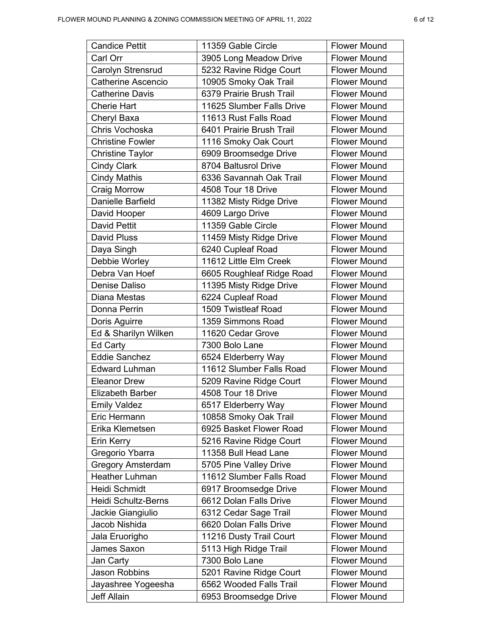| <b>Candice Pettit</b>     | 11359 Gable Circle        | <b>Flower Mound</b> |
|---------------------------|---------------------------|---------------------|
| Carl Orr                  | 3905 Long Meadow Drive    | <b>Flower Mound</b> |
| Carolyn Strensrud         | 5232 Ravine Ridge Court   | <b>Flower Mound</b> |
| <b>Catherine Ascencio</b> | 10905 Smoky Oak Trail     | <b>Flower Mound</b> |
| <b>Catherine Davis</b>    | 6379 Prairie Brush Trail  | <b>Flower Mound</b> |
| <b>Cherie Hart</b>        | 11625 Slumber Falls Drive | <b>Flower Mound</b> |
| Cheryl Baxa               | 11613 Rust Falls Road     | <b>Flower Mound</b> |
| Chris Vochoska            | 6401 Prairie Brush Trail  | <b>Flower Mound</b> |
| <b>Christine Fowler</b>   | 1116 Smoky Oak Court      | <b>Flower Mound</b> |
| <b>Christine Taylor</b>   | 6909 Broomsedge Drive     | <b>Flower Mound</b> |
| <b>Cindy Clark</b>        | 8704 Baltusrol Drive      | <b>Flower Mound</b> |
| <b>Cindy Mathis</b>       | 6336 Savannah Oak Trail   | <b>Flower Mound</b> |
| Craig Morrow              | 4508 Tour 18 Drive        | <b>Flower Mound</b> |
| Danielle Barfield         | 11382 Misty Ridge Drive   | <b>Flower Mound</b> |
| David Hooper              | 4609 Largo Drive          | <b>Flower Mound</b> |
| <b>David Pettit</b>       | 11359 Gable Circle        | <b>Flower Mound</b> |
| <b>David Pluss</b>        | 11459 Misty Ridge Drive   | <b>Flower Mound</b> |
| Daya Singh                | 6240 Cupleaf Road         | <b>Flower Mound</b> |
| Debbie Worley             | 11612 Little Elm Creek    | <b>Flower Mound</b> |
| Debra Van Hoef            | 6605 Roughleaf Ridge Road | <b>Flower Mound</b> |
| Denise Daliso             | 11395 Misty Ridge Drive   | <b>Flower Mound</b> |
| Diana Mestas              | 6224 Cupleaf Road         | <b>Flower Mound</b> |
| Donna Perrin              | 1509 Twistleaf Road       | <b>Flower Mound</b> |
| Doris Aguirre             | 1359 Simmons Road         | <b>Flower Mound</b> |
| Ed & Sharilyn Wilken      | 11620 Cedar Grove         | <b>Flower Mound</b> |
| Ed Carty                  | 7300 Bolo Lane            | <b>Flower Mound</b> |
| <b>Eddie Sanchez</b>      | 6524 Elderberry Way       | <b>Flower Mound</b> |
| <b>Edward Luhman</b>      | 11612 Slumber Falls Road  | <b>Flower Mound</b> |
| <b>Eleanor Drew</b>       | 5209 Ravine Ridge Court   | <b>Flower Mound</b> |
| <b>Elizabeth Barber</b>   | 4508 Tour 18 Drive        | <b>Flower Mound</b> |
| <b>Emily Valdez</b>       | 6517 Elderberry Way       | <b>Flower Mound</b> |
| Eric Hermann              | 10858 Smoky Oak Trail     | <b>Flower Mound</b> |
| Erika Klemetsen           | 6925 Basket Flower Road   | <b>Flower Mound</b> |
| Erin Kerry                | 5216 Ravine Ridge Court   | <b>Flower Mound</b> |
| Gregorio Ybarra           | 11358 Bull Head Lane      | <b>Flower Mound</b> |
| <b>Gregory Amsterdam</b>  | 5705 Pine Valley Drive    | <b>Flower Mound</b> |
| <b>Heather Luhman</b>     | 11612 Slumber Falls Road  | <b>Flower Mound</b> |
| Heidi Schmidt             | 6917 Broomsedge Drive     | <b>Flower Mound</b> |
| Heidi Schultz-Berns       | 6612 Dolan Falls Drive    | <b>Flower Mound</b> |
| Jackie Giangiulio         | 6312 Cedar Sage Trail     | <b>Flower Mound</b> |
| Jacob Nishida             | 6620 Dolan Falls Drive    | <b>Flower Mound</b> |
| Jala Eruorigho            | 11216 Dusty Trail Court   | <b>Flower Mound</b> |
| James Saxon               | 5113 High Ridge Trail     | <b>Flower Mound</b> |
| Jan Carty                 | 7300 Bolo Lane            | <b>Flower Mound</b> |
| <b>Jason Robbins</b>      | 5201 Ravine Ridge Court   | <b>Flower Mound</b> |
| Jayashree Yogeesha        | 6562 Wooded Falls Trail   | <b>Flower Mound</b> |
| <b>Jeff Allain</b>        | 6953 Broomsedge Drive     | <b>Flower Mound</b> |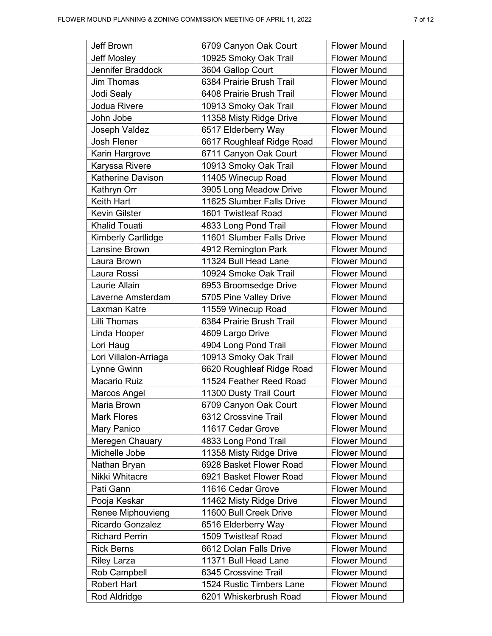| <b>Jeff Brown</b>         | 6709 Canyon Oak Court     | <b>Flower Mound</b> |
|---------------------------|---------------------------|---------------------|
| <b>Jeff Mosley</b>        | 10925 Smoky Oak Trail     | <b>Flower Mound</b> |
| <b>Jennifer Braddock</b>  | 3604 Gallop Court         | <b>Flower Mound</b> |
| Jim Thomas                | 6384 Prairie Brush Trail  | <b>Flower Mound</b> |
| Jodi Sealy                | 6408 Prairie Brush Trail  | <b>Flower Mound</b> |
| Jodua Rivere              | 10913 Smoky Oak Trail     | <b>Flower Mound</b> |
| John Jobe                 | 11358 Misty Ridge Drive   | <b>Flower Mound</b> |
| Joseph Valdez             | 6517 Elderberry Way       | <b>Flower Mound</b> |
| Josh Flener               | 6617 Roughleaf Ridge Road | <b>Flower Mound</b> |
| Karin Hargrove            | 6711 Canyon Oak Court     | <b>Flower Mound</b> |
| Karyssa Rivere            | 10913 Smoky Oak Trail     | <b>Flower Mound</b> |
| Katherine Davison         | 11405 Winecup Road        | <b>Flower Mound</b> |
| Kathryn Orr               | 3905 Long Meadow Drive    | <b>Flower Mound</b> |
| Keith Hart                | 11625 Slumber Falls Drive | <b>Flower Mound</b> |
| <b>Kevin Gilster</b>      | 1601 Twistleaf Road       | <b>Flower Mound</b> |
| <b>Khalid Touati</b>      | 4833 Long Pond Trail      | <b>Flower Mound</b> |
| <b>Kimberly Cartlidge</b> | 11601 Slumber Falls Drive | <b>Flower Mound</b> |
| Lansine Brown             | 4912 Remington Park       | <b>Flower Mound</b> |
| Laura Brown               | 11324 Bull Head Lane      | <b>Flower Mound</b> |
| Laura Rossi               | 10924 Smoke Oak Trail     | <b>Flower Mound</b> |
| Laurie Allain             | 6953 Broomsedge Drive     | <b>Flower Mound</b> |
| Laverne Amsterdam         | 5705 Pine Valley Drive    | <b>Flower Mound</b> |
| Laxman Katre              | 11559 Winecup Road        | <b>Flower Mound</b> |
| Lilli Thomas              | 6384 Prairie Brush Trail  | <b>Flower Mound</b> |
| Linda Hooper              | 4609 Largo Drive          | <b>Flower Mound</b> |
| Lori Haug                 | 4904 Long Pond Trail      | <b>Flower Mound</b> |
| Lori Villalon-Arriaga     | 10913 Smoky Oak Trail     | <b>Flower Mound</b> |
| Lynne Gwinn               | 6620 Roughleaf Ridge Road | <b>Flower Mound</b> |
| Macario Ruiz              | 11524 Feather Reed Road   | <b>Flower Mound</b> |
| Marcos Angel              | 11300 Dusty Trail Court   | <b>Flower Mound</b> |
| Maria Brown               | 6709 Canyon Oak Court     | <b>Flower Mound</b> |
| <b>Mark Flores</b>        | 6312 Crossvine Trail      | <b>Flower Mound</b> |
| Mary Panico               | 11617 Cedar Grove         | <b>Flower Mound</b> |
| Meregen Chauary           | 4833 Long Pond Trail      | <b>Flower Mound</b> |
| Michelle Jobe             | 11358 Misty Ridge Drive   | <b>Flower Mound</b> |
| Nathan Bryan              | 6928 Basket Flower Road   | <b>Flower Mound</b> |
| Nikki Whitacre            | 6921 Basket Flower Road   | <b>Flower Mound</b> |
| Pati Gann                 | 11616 Cedar Grove         | <b>Flower Mound</b> |
| Pooja Keskar              | 11462 Misty Ridge Drive   | <b>Flower Mound</b> |
| Renee Miphouvieng         | 11600 Bull Creek Drive    | <b>Flower Mound</b> |
| Ricardo Gonzalez          | 6516 Elderberry Way       | <b>Flower Mound</b> |
| <b>Richard Perrin</b>     | 1509 Twistleaf Road       | <b>Flower Mound</b> |
| <b>Rick Berns</b>         | 6612 Dolan Falls Drive    | <b>Flower Mound</b> |
| <b>Riley Larza</b>        | 11371 Bull Head Lane      | <b>Flower Mound</b> |
| Rob Campbell              | 6345 Crossvine Trail      | <b>Flower Mound</b> |
| <b>Robert Hart</b>        | 1524 Rustic Timbers Lane  | <b>Flower Mound</b> |
| Rod Aldridge              | 6201 Whiskerbrush Road    | <b>Flower Mound</b> |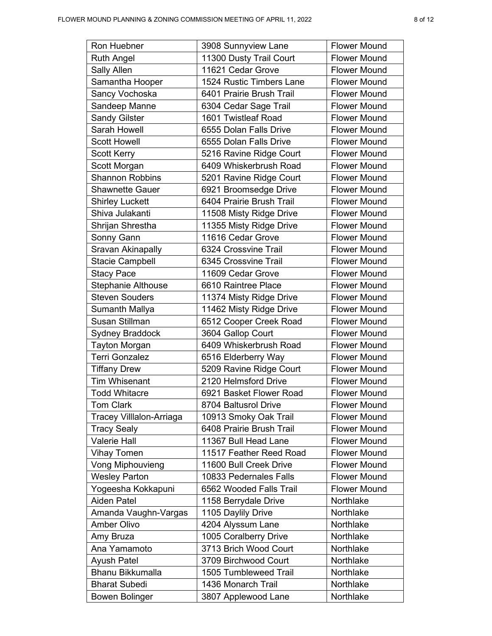| Ron Huebner               | 3908 Sunnyview Lane      | <b>Flower Mound</b> |
|---------------------------|--------------------------|---------------------|
| <b>Ruth Angel</b>         | 11300 Dusty Trail Court  | <b>Flower Mound</b> |
| Sally Allen               | 11621 Cedar Grove        | <b>Flower Mound</b> |
| Samantha Hooper           | 1524 Rustic Timbers Lane | <b>Flower Mound</b> |
| Sancy Vochoska            | 6401 Prairie Brush Trail | <b>Flower Mound</b> |
| Sandeep Manne             | 6304 Cedar Sage Trail    | <b>Flower Mound</b> |
| <b>Sandy Gilster</b>      | 1601 Twistleaf Road      | <b>Flower Mound</b> |
| Sarah Howell              | 6555 Dolan Falls Drive   | <b>Flower Mound</b> |
| <b>Scott Howell</b>       | 6555 Dolan Falls Drive   | <b>Flower Mound</b> |
| <b>Scott Kerry</b>        | 5216 Ravine Ridge Court  | <b>Flower Mound</b> |
| Scott Morgan              | 6409 Whiskerbrush Road   | <b>Flower Mound</b> |
| <b>Shannon Robbins</b>    | 5201 Ravine Ridge Court  | <b>Flower Mound</b> |
| <b>Shawnette Gauer</b>    | 6921 Broomsedge Drive    | <b>Flower Mound</b> |
| <b>Shirley Luckett</b>    | 6404 Prairie Brush Trail | <b>Flower Mound</b> |
| Shiva Julakanti           | 11508 Misty Ridge Drive  | <b>Flower Mound</b> |
| Shrijan Shrestha          | 11355 Misty Ridge Drive  | <b>Flower Mound</b> |
| Sonny Gann                | 11616 Cedar Grove        | <b>Flower Mound</b> |
| Sravan Akinapally         | 6324 Crossvine Trail     | <b>Flower Mound</b> |
| <b>Stacie Campbell</b>    | 6345 Crossvine Trail     | <b>Flower Mound</b> |
| <b>Stacy Pace</b>         | 11609 Cedar Grove        | <b>Flower Mound</b> |
| <b>Stephanie Althouse</b> | 6610 Raintree Place      | <b>Flower Mound</b> |
| <b>Steven Souders</b>     | 11374 Misty Ridge Drive  | <b>Flower Mound</b> |
| Sumanth Mallya            | 11462 Misty Ridge Drive  | <b>Flower Mound</b> |
| Susan Stillman            | 6512 Cooper Creek Road   | <b>Flower Mound</b> |
| <b>Sydney Braddock</b>    | 3604 Gallop Court        | <b>Flower Mound</b> |
| <b>Tayton Morgan</b>      | 6409 Whiskerbrush Road   | <b>Flower Mound</b> |
| <b>Terri Gonzalez</b>     | 6516 Elderberry Way      | <b>Flower Mound</b> |
| <b>Tiffany Drew</b>       | 5209 Ravine Ridge Court  | <b>Flower Mound</b> |
| <b>Tim Whisenant</b>      | 2120 Helmsford Drive     | <b>Flower Mound</b> |
| <b>Todd Whitacre</b>      | 6921 Basket Flower Road  | <b>Flower Mound</b> |
| <b>Tom Clark</b>          | 8704 Baltusrol Drive     | <b>Flower Mound</b> |
| Tracey Villlalon-Arriaga  | 10913 Smoky Oak Trail    | <b>Flower Mound</b> |
| <b>Tracy Sealy</b>        | 6408 Prairie Brush Trail | <b>Flower Mound</b> |
| <b>Valerie Hall</b>       | 11367 Bull Head Lane     | <b>Flower Mound</b> |
| <b>Vihay Tomen</b>        | 11517 Feather Reed Road  | <b>Flower Mound</b> |
| Vong Miphouvieng          | 11600 Bull Creek Drive   | <b>Flower Mound</b> |
| <b>Wesley Parton</b>      | 10833 Pedernales Falls   | <b>Flower Mound</b> |
| Yogeesha Kokkapuni        | 6562 Wooded Falls Trail  | <b>Flower Mound</b> |
| <b>Aiden Patel</b>        | 1158 Berrydale Drive     | Northlake           |
| Amanda Vaughn-Vargas      | 1105 Daylily Drive       | Northlake           |
| <b>Amber Olivo</b>        | 4204 Alyssum Lane        | Northlake           |
| Amy Bruza                 | 1005 Coralberry Drive    | Northlake           |
| Ana Yamamoto              | 3713 Brich Wood Court    | Northlake           |
| <b>Ayush Patel</b>        | 3709 Birchwood Court     | Northlake           |
| <b>Bhanu Bikkumalla</b>   | 1505 Tumbleweed Trail    | Northlake           |
| <b>Bharat Subedi</b>      | 1436 Monarch Trail       | Northlake           |
| <b>Bowen Bolinger</b>     | 3807 Applewood Lane      | Northlake           |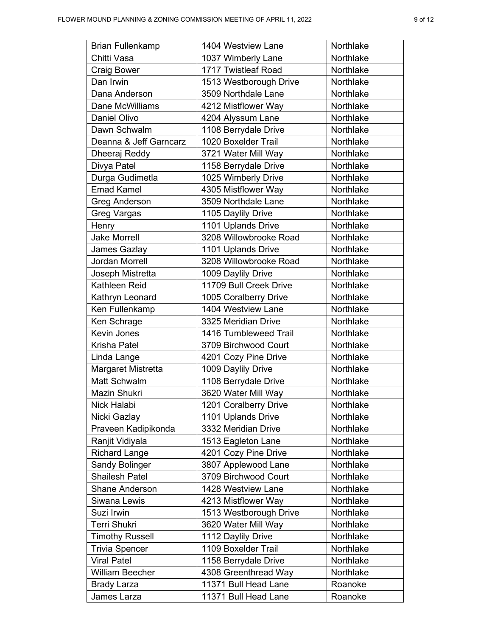| <b>Brian Fullenkamp</b> | 1404 Westview Lane     | Northlake |
|-------------------------|------------------------|-----------|
| Chitti Vasa             | 1037 Wimberly Lane     | Northlake |
| <b>Craig Bower</b>      | 1717 Twistleaf Road    | Northlake |
| Dan Irwin               | 1513 Westborough Drive | Northlake |
| Dana Anderson           | 3509 Northdale Lane    | Northlake |
| Dane McWilliams         | 4212 Mistflower Way    | Northlake |
| Daniel Olivo            | 4204 Alyssum Lane      | Northlake |
| Dawn Schwalm            | 1108 Berrydale Drive   | Northlake |
| Deanna & Jeff Garncarz  | 1020 Boxelder Trail    | Northlake |
| Dheeraj Reddy           | 3721 Water Mill Way    | Northlake |
| Divya Patel             | 1158 Berrydale Drive   | Northlake |
| Durga Gudimetla         | 1025 Wimberly Drive    | Northlake |
| <b>Emad Kamel</b>       | 4305 Mistflower Way    | Northlake |
| <b>Greg Anderson</b>    | 3509 Northdale Lane    | Northlake |
| Greg Vargas             | 1105 Daylily Drive     | Northlake |
| Henry                   | 1101 Uplands Drive     | Northlake |
| <b>Jake Morrell</b>     | 3208 Willowbrooke Road | Northlake |
| James Gazlay            | 1101 Uplands Drive     | Northlake |
| Jordan Morrell          | 3208 Willowbrooke Road | Northlake |
| Joseph Mistretta        | 1009 Daylily Drive     | Northlake |
| Kathleen Reid           | 11709 Bull Creek Drive | Northlake |
| Kathryn Leonard         | 1005 Coralberry Drive  | Northlake |
| Ken Fullenkamp          | 1404 Westview Lane     | Northlake |
| Ken Schrage             | 3325 Meridian Drive    | Northlake |
| Kevin Jones             | 1416 Tumbleweed Trail  | Northlake |
| Krisha Patel            | 3709 Birchwood Court   | Northlake |
| Linda Lange             | 4201 Cozy Pine Drive   | Northlake |
| Margaret Mistretta      | 1009 Daylily Drive     | Northlake |
| Matt Schwalm            | 1108 Berrydale Drive   | Northlake |
| Mazin Shukri            | 3620 Water Mill Way    | Northlake |
| Nick Halabi             | 1201 Coralberry Drive  | Northlake |
| Nicki Gazlay            | 1101 Uplands Drive     | Northlake |
| Praveen Kadipikonda     | 3332 Meridian Drive    | Northlake |
| Ranjit Vidiyala         | 1513 Eagleton Lane     | Northlake |
| <b>Richard Lange</b>    | 4201 Cozy Pine Drive   | Northlake |
| Sandy Bolinger          | 3807 Applewood Lane    | Northlake |
| <b>Shailesh Patel</b>   | 3709 Birchwood Court   | Northlake |
| <b>Shane Anderson</b>   | 1428 Westview Lane     | Northlake |
| Siwana Lewis            | 4213 Mistflower Way    | Northlake |
| Suzi Irwin              | 1513 Westborough Drive | Northlake |
| <b>Terri Shukri</b>     | 3620 Water Mill Way    | Northlake |
| <b>Timothy Russell</b>  | 1112 Daylily Drive     | Northlake |
| <b>Trivia Spencer</b>   | 1109 Boxelder Trail    | Northlake |
| <b>Viral Patel</b>      | 1158 Berrydale Drive   | Northlake |
| <b>William Beecher</b>  | 4308 Greenthread Way   | Northlake |
| <b>Brady Larza</b>      | 11371 Bull Head Lane   | Roanoke   |
| James Larza             | 11371 Bull Head Lane   | Roanoke   |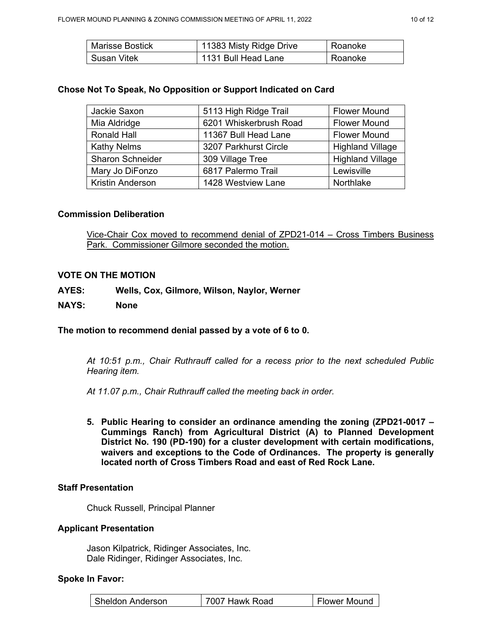| Marisse Bostick | 11383 Misty Ridge Drive | Roanoke |
|-----------------|-------------------------|---------|
| -Susan Vitek    | 1131 Bull Head Lane     | Roanoke |

### **Chose Not To Speak, No Opposition or Support Indicated on Card**

| Jackie Saxon            | 5113 High Ridge Trail  | <b>Flower Mound</b>     |
|-------------------------|------------------------|-------------------------|
| Mia Aldridge            | 6201 Whiskerbrush Road | <b>Flower Mound</b>     |
| Ronald Hall             | 11367 Bull Head Lane   | <b>Flower Mound</b>     |
| <b>Kathy Nelms</b>      | 3207 Parkhurst Circle  | <b>Highland Village</b> |
| <b>Sharon Schneider</b> | 309 Village Tree       | <b>Highland Village</b> |
| Mary Jo DiFonzo         | 6817 Palermo Trail     | Lewisville              |
| <b>Kristin Anderson</b> | 1428 Westview Lane     | Northlake               |

### **Commission Deliberation**

Vice-Chair Cox moved to recommend denial of ZPD21-014 – Cross Timbers Business Park. Commissioner Gilmore seconded the motion.

### **VOTE ON THE MOTION**

- **AYES: Wells, Cox, Gilmore, Wilson, Naylor, Werner**
- **NAYS: None**

### **The motion to recommend denial passed by a vote of 6 to 0.**

*At 10:51 p.m., Chair Ruthrauff called for a recess prior to the next scheduled Public Hearing item.*

*At 11.07 p.m., Chair Ruthrauff called the meeting back in order.* 

**5. Public Hearing to consider an ordinance amending the zoning (ZPD21-0017 – Cummings Ranch) from Agricultural District (A) to Planned Development District No. 190 (PD-190) for a cluster development with certain modifications, waivers and exceptions to the Code of Ordinances. The property is generally located north of Cross Timbers Road and east of Red Rock Lane.** 

### **Staff Presentation**

Chuck Russell, Principal Planner

### **Applicant Presentation**

Jason Kilpatrick, Ridinger Associates, Inc. Dale Ridinger, Ridinger Associates, Inc.

### **Spoke In Favor:**

| I Sheldon Anderson | 7007 Hawk Road | l Flower Mound |
|--------------------|----------------|----------------|
|--------------------|----------------|----------------|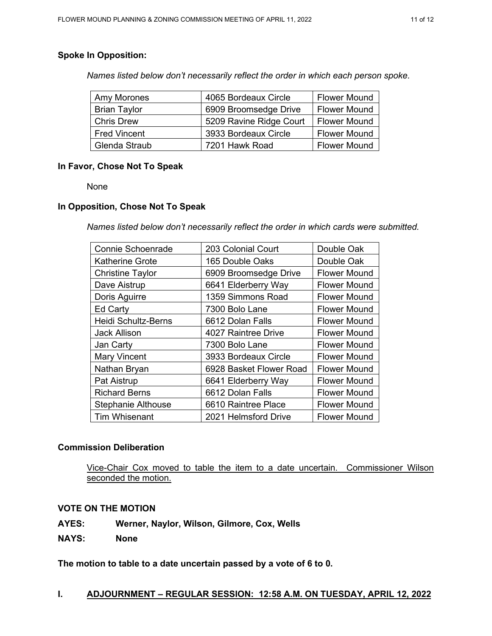# **Spoke In Opposition:**

*Names listed below don't necessarily reflect the order in which each person spoke.*

| Amy Morones         | 4065 Bordeaux Circle    | <b>Flower Mound</b> |
|---------------------|-------------------------|---------------------|
| <b>Brian Taylor</b> | 6909 Broomsedge Drive   | <b>Flower Mound</b> |
| <b>Chris Drew</b>   | 5209 Ravine Ridge Court | <b>Flower Mound</b> |
| <b>Fred Vincent</b> | 3933 Bordeaux Circle    | <b>Flower Mound</b> |
| Glenda Straub       | 7201 Hawk Road          | <b>Flower Mound</b> |

# **In Favor, Chose Not To Speak**

None

### **In Opposition, Chose Not To Speak**

*Names listed below don't necessarily reflect the order in which cards were submitted.* 

| <b>Connie Schoenrade</b>  | 203 Colonial Court      | Double Oak          |
|---------------------------|-------------------------|---------------------|
| <b>Katherine Grote</b>    | 165 Double Oaks         | Double Oak          |
| <b>Christine Taylor</b>   | 6909 Broomsedge Drive   | <b>Flower Mound</b> |
| Dave Aistrup              | 6641 Elderberry Way     | <b>Flower Mound</b> |
| Doris Aguirre             | 1359 Simmons Road       | <b>Flower Mound</b> |
| <b>Ed Carty</b>           | 7300 Bolo Lane          | <b>Flower Mound</b> |
| Heidi Schultz-Berns       | 6612 Dolan Falls        | <b>Flower Mound</b> |
| <b>Jack Allison</b>       | 4027 Raintree Drive     | <b>Flower Mound</b> |
| Jan Carty                 | 7300 Bolo Lane          | <b>Flower Mound</b> |
| <b>Mary Vincent</b>       | 3933 Bordeaux Circle    | <b>Flower Mound</b> |
| Nathan Bryan              | 6928 Basket Flower Road | <b>Flower Mound</b> |
| Pat Aistrup               | 6641 Elderberry Way     | <b>Flower Mound</b> |
| <b>Richard Berns</b>      | 6612 Dolan Falls        | <b>Flower Mound</b> |
| <b>Stephanie Althouse</b> | 6610 Raintree Place     | <b>Flower Mound</b> |
| <b>Tim Whisenant</b>      | 2021 Helmsford Drive    | <b>Flower Mound</b> |

# **Commission Deliberation**

Vice-Chair Cox moved to table the item to a date uncertain. Commissioner Wilson seconded the motion.

### **VOTE ON THE MOTION**

**AYES: Werner, Naylor, Wilson, Gilmore, Cox, Wells**

**NAYS: None**

**The motion to table to a date uncertain passed by a vote of 6 to 0.** 

### **I. ADJOURNMENT – REGULAR SESSION: 12:58 A.M. ON TUESDAY, APRIL 12, 2022**